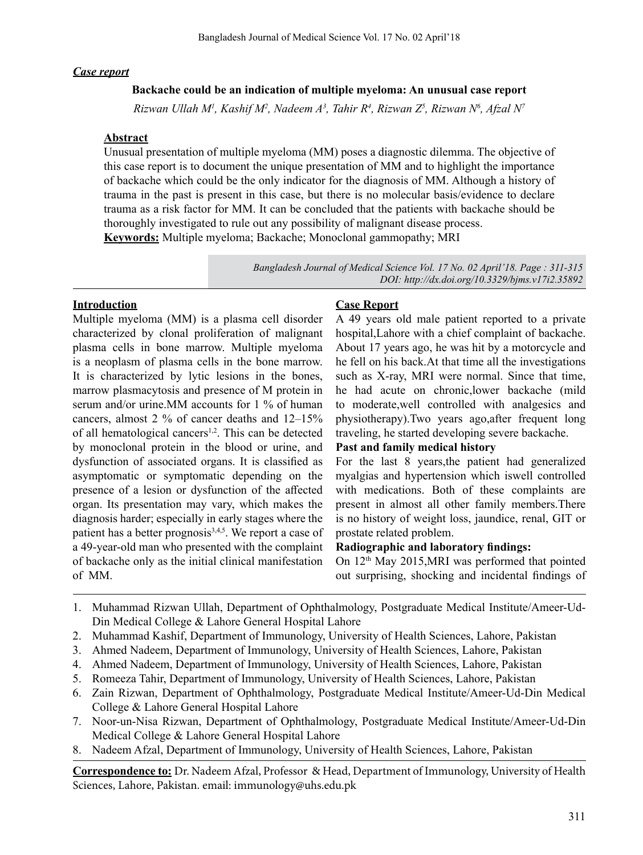#### *Case report*

# **Backache could be an indication of multiple myeloma: An unusual case report**

*Rizwan Ullah M1 , Kashif M2 , Nadeem A3 , Tahir R4 , Rizwan Z5 , Rizwan N6 , Afzal N7*

## **Abstract**

Unusual presentation of multiple myeloma (MM) poses a diagnostic dilemma. The objective of this case report is to document the unique presentation of MM and to highlight the importance of backache which could be the only indicator for the diagnosis of MM. Although a history of trauma in the past is present in this case, but there is no molecular basis/evidence to declare trauma as a risk factor for MM. It can be concluded that the patients with backache should be thoroughly investigated to rule out any possibility of malignant disease process. **Keywords:** Multiple myeloma; Backache; Monoclonal gammopathy; MRI

> *Bangladesh Journal of Medical Science Vol. 17 No. 02 April'18. Page : 311-315 DOI: http://dx.doi.org/10.3329/bjms.v17i2.35892*

# **Introduction**

Multiple myeloma (MM) is a plasma cell disorder characterized by clonal proliferation of malignant plasma cells in bone marrow. Multiple myeloma is a neoplasm of plasma cells in the bone marrow. It is characterized by lytic lesions in the bones, marrow plasmacytosis and presence of M protein in serum and/or urine.MM accounts for 1 % of human cancers, almost 2 % of cancer deaths and 12–15% of all hematological cancers<sup>1,2</sup>. This can be detected by monoclonal protein in the blood or urine, and dysfunction of associated organs. It is classified as asymptomatic or symptomatic depending on the presence of a lesion or dysfunction of the affected organ. Its presentation may vary, which makes the diagnosis harder; especially in early stages where the patient has a better prognosis<sup>3,4,5</sup>. We report a case of a 49-year-old man who presented with the complaint of backache only as the initial clinical manifestation of MM.

# **Case Report**

A 49 years old male patient reported to a private hospital,Lahore with a chief complaint of backache. About 17 years ago, he was hit by a motorcycle and he fell on his back.At that time all the investigations such as X-ray, MRI were normal. Since that time, he had acute on chronic,lower backache (mild to moderate,well controlled with analgesics and physiotherapy).Two years ago,after frequent long traveling, he started developing severe backache.

## **Past and family medical history**

For the last 8 years,the patient had generalized myalgias and hypertension which iswell controlled with medications. Both of these complaints are present in almost all other family members.There is no history of weight loss, jaundice, renal, GIT or prostate related problem.

## **Radiographic and laboratory findings:**

On 12<sup>th</sup> May 2015, MRI was performed that pointed out surprising, shocking and incidental findings of

- 1. Muhammad Rizwan Ullah, Department of Ophthalmology, Postgraduate Medical Institute/Ameer-Ud-Din Medical College & Lahore General Hospital Lahore
- 2. Muhammad Kashif, Department of Immunology, University of Health Sciences, Lahore, Pakistan
- 3. Ahmed Nadeem, Department of Immunology, University of Health Sciences, Lahore, Pakistan
- 4. Ahmed Nadeem, Department of Immunology, University of Health Sciences, Lahore, Pakistan
- 5. Romeeza Tahir, Department of Immunology, University of Health Sciences, Lahore, Pakistan
- 6. Zain Rizwan, Department of Ophthalmology, Postgraduate Medical Institute/Ameer-Ud-Din Medical College & Lahore General Hospital Lahore
- 7. Noor-un-Nisa Rizwan, Department of Ophthalmology, Postgraduate Medical Institute/Ameer-Ud-Din Medical College & Lahore General Hospital Lahore
- 8. Nadeem Afzal, Department of Immunology, University of Health Sciences, Lahore, Pakistan

**Correspondence to:** Dr. Nadeem Afzal, Professor & Head, Department of Immunology, University of Health Sciences, Lahore, Pakistan. email: immunology@uhs.edu.pk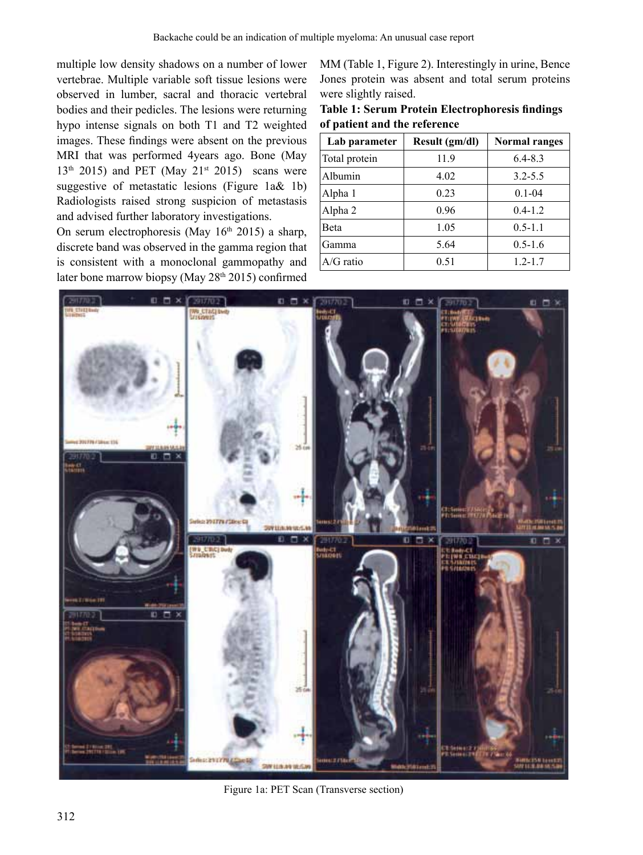multiple low density shadows on a number of lower vertebrae. Multiple variable soft tissue lesions were observed in lumber, sacral and thoracic vertebral bodies and their pedicles. The lesions were returning hypo intense signals on both T1 and T2 weighted images. These findings were absent on the previous MRI that was performed 4years ago. Bone (May  $13<sup>th</sup>$  2015) and PET (May 21<sup>st</sup> 2015) scans were suggestive of metastatic lesions (Figure 1a& 1b) Radiologists raised strong suspicion of metastasis and advised further laboratory investigations.

On serum electrophoresis (May  $16<sup>th</sup> 2015$ ) a sharp, discrete band was observed in the gamma region that is consistent with a monoclonal gammopathy and later bone marrow biopsy (May 28<sup>th</sup> 2015) confirmed MM (Table 1, Figure 2). Interestingly in urine, Bence Jones protein was absent and total serum proteins were slightly raised.

| <b>Table 1: Serum Protein Electrophoresis findings</b> |
|--------------------------------------------------------|
| of patient and the reference                           |

| Lab parameter | Result (gm/dl) | Normal ranges |
|---------------|----------------|---------------|
| Total protein | 11.9           | $6.4 - 8.3$   |
| Albumin       | 4.02           | $3.2 - 5.5$   |
| Alpha 1       | 0.23           | $0.1 - 0.4$   |
| Alpha 2       | 0.96           | $0.4 - 1.2$   |
| <b>B</b> eta  | 1.05           | $0.5 - 1.1$   |
| Gamma         | 5.64           | $0.5 - 1.6$   |
| $A/G$ ratio   | 0.51           | $1.2 - 1.7$   |



Figure 1a: PET Scan (Transverse section)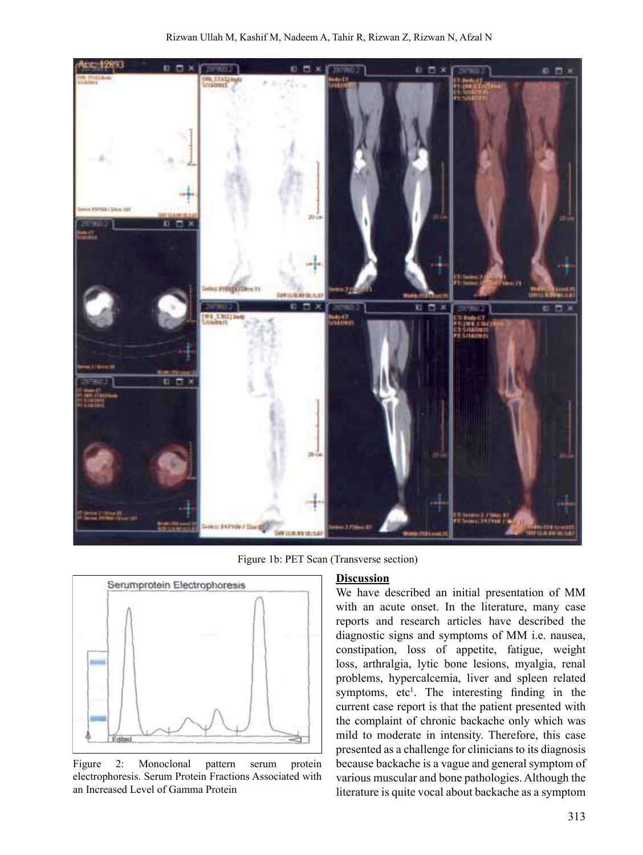

Figure 1b: PET Scan (Transverse section)



Figure 2: Monoclonal pattern serum protein electrophoresis. Serum Protein Fractions Associated with an Increased Level of Gamma Protein

#### **Discussion**

We have described an initial presentation of MM with an acute onset. In the literature, many case reports and research articles have described the diagnostic signs and symptoms of MM i.e. nausea, constipation, loss of appetite, fatigue, weight loss, arthralgia, lytic bone lesions, myalgia, renal problems, hypercalcemia, liver and spleen related symptoms, etc<sup>1</sup>. The interesting finding in the current case report is that the patient presented with the complaint of chronic backache only which was mild to moderate in intensity. Therefore, this case presented as a challenge for clinicians to its diagnosis because backache is a vague and general symptom of various muscular and bone pathologies. Although the literature is quite vocal about backache as a symptom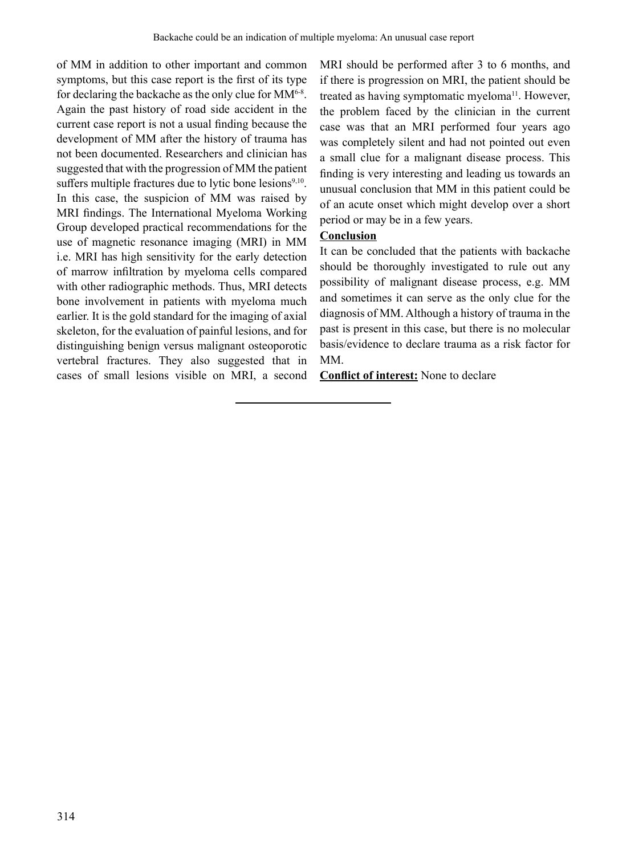of MM in addition to other important and common symptoms, but this case report is the first of its type for declaring the backache as the only clue for  $MM^{6-8}$ . Again the past history of road side accident in the current case report is not a usual finding because the development of MM after the history of trauma has not been documented. Researchers and clinician has suggested that with the progression of MM the patient suffers multiple fractures due to lytic bone lesions<sup>9,10</sup>. In this case, the suspicion of MM was raised by MRI findings. The International Myeloma Working Group developed practical recommendations for the use of magnetic resonance imaging (MRI) in MM i.e. MRI has high sensitivity for the early detection of marrow infiltration by myeloma cells compared with other radiographic methods. Thus, MRI detects bone involvement in patients with myeloma much earlier. It is the gold standard for the imaging of axial skeleton, for the evaluation of painful lesions, and for distinguishing benign versus malignant osteoporotic vertebral fractures. They also suggested that in cases of small lesions visible on MRI, a second MRI should be performed after 3 to 6 months, and if there is progression on MRI, the patient should be treated as having symptomatic myeloma<sup>11</sup>. However, the problem faced by the clinician in the current case was that an MRI performed four years ago was completely silent and had not pointed out even a small clue for a malignant disease process. This finding is very interesting and leading us towards an unusual conclusion that MM in this patient could be of an acute onset which might develop over a short period or may be in a few years.

#### **Conclusion**

It can be concluded that the patients with backache should be thoroughly investigated to rule out any possibility of malignant disease process, e.g. MM and sometimes it can serve as the only clue for the diagnosis of MM. Although a history of trauma in the past is present in this case, but there is no molecular basis/evidence to declare trauma as a risk factor for MM.

**Conflict of interest:** None to declare